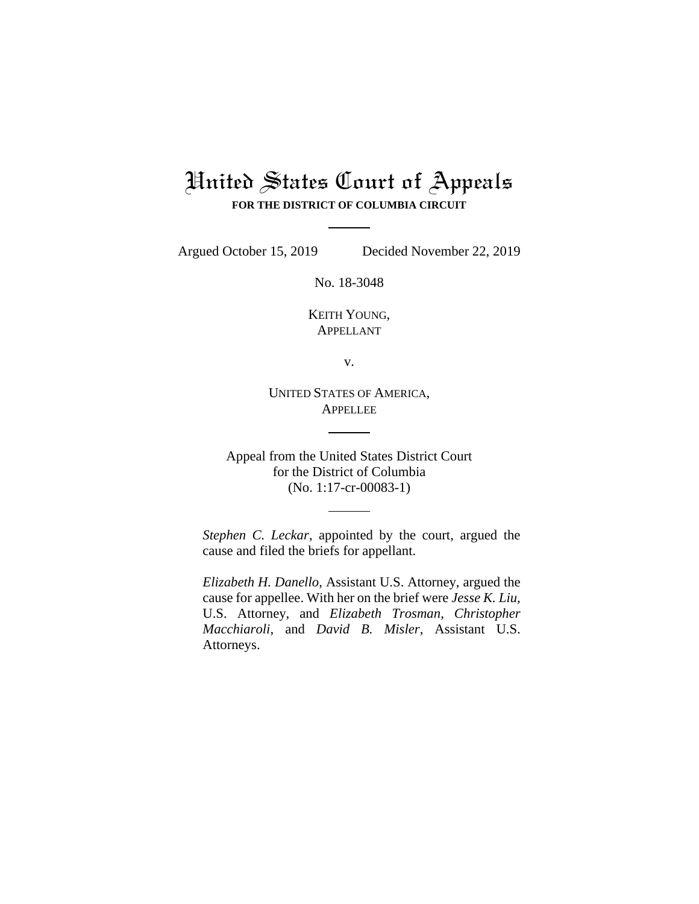## United States Court of Appeals **FOR THE DISTRICT OF COLUMBIA CIRCUIT**

Argued October 15, 2019 Decided November 22, 2019

No. 18-3048

KEITH YOUNG, APPELLANT

v.

UNITED STATES OF AMERICA, APPELLEE

Appeal from the United States District Court for the District of Columbia (No. 1:17-cr-00083-1)

*Stephen C. Leckar*, appointed by the court, argued the cause and filed the briefs for appellant.

*Elizabeth H. Danello*, Assistant U.S. Attorney, argued the cause for appellee. With her on the brief were *Jesse K. Liu,*  U.S. Attorney, and *Elizabeth Trosman*, *Christopher Macchiaroli*, and *David B. Misler*, Assistant U.S. Attorneys.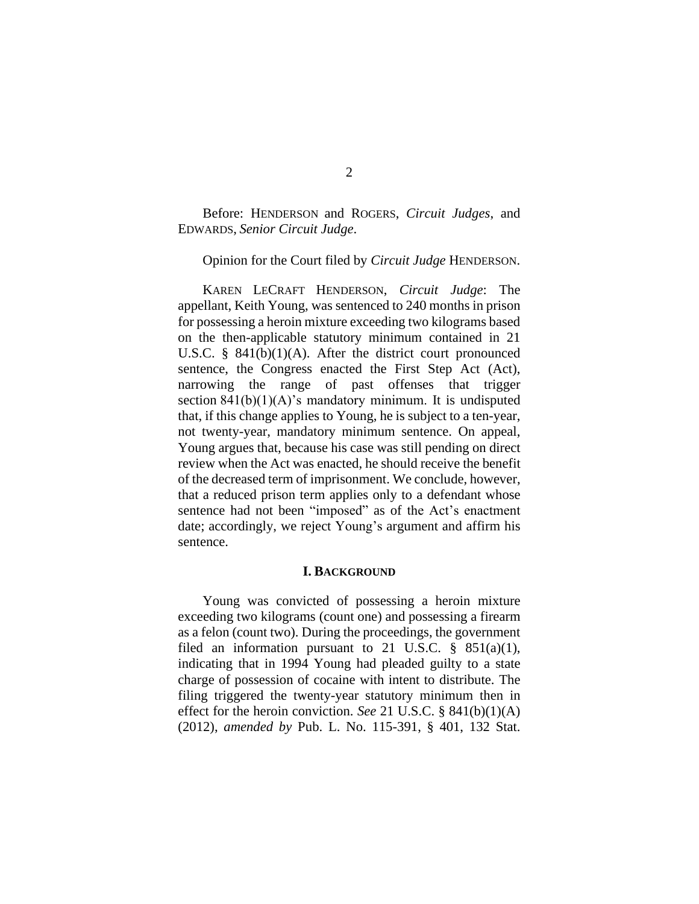Before: HENDERSON and ROGERS, *Circuit Judges*, and EDWARDS, *Senior Circuit Judge*.

Opinion for the Court filed by *Circuit Judge* HENDERSON.

KAREN LECRAFT HENDERSON, *Circuit Judge*: The appellant, Keith Young, was sentenced to 240 months in prison for possessing a heroin mixture exceeding two kilograms based on the then-applicable statutory minimum contained in 21 U.S.C. § 841(b)(1)(A). After the district court pronounced sentence, the Congress enacted the First Step Act (Act), narrowing the range of past offenses that trigger section  $841(b)(1)(A)$ 's mandatory minimum. It is undisputed that, if this change applies to Young, he is subject to a ten-year, not twenty-year, mandatory minimum sentence. On appeal, Young argues that, because his case was still pending on direct review when the Act was enacted, he should receive the benefit of the decreased term of imprisonment. We conclude, however, that a reduced prison term applies only to a defendant whose sentence had not been "imposed" as of the Act's enactment date; accordingly, we reject Young's argument and affirm his sentence.

## **I. BACKGROUND**

Young was convicted of possessing a heroin mixture exceeding two kilograms (count one) and possessing a firearm as a felon (count two). During the proceedings, the government filed an information pursuant to 21 U.S.C.  $\S$  851(a)(1), indicating that in 1994 Young had pleaded guilty to a state charge of possession of cocaine with intent to distribute. The filing triggered the twenty-year statutory minimum then in effect for the heroin conviction. *See* 21 U.S.C. § 841(b)(1)(A) (2012), *amended by* Pub. L. No. 115-391, § 401, 132 Stat.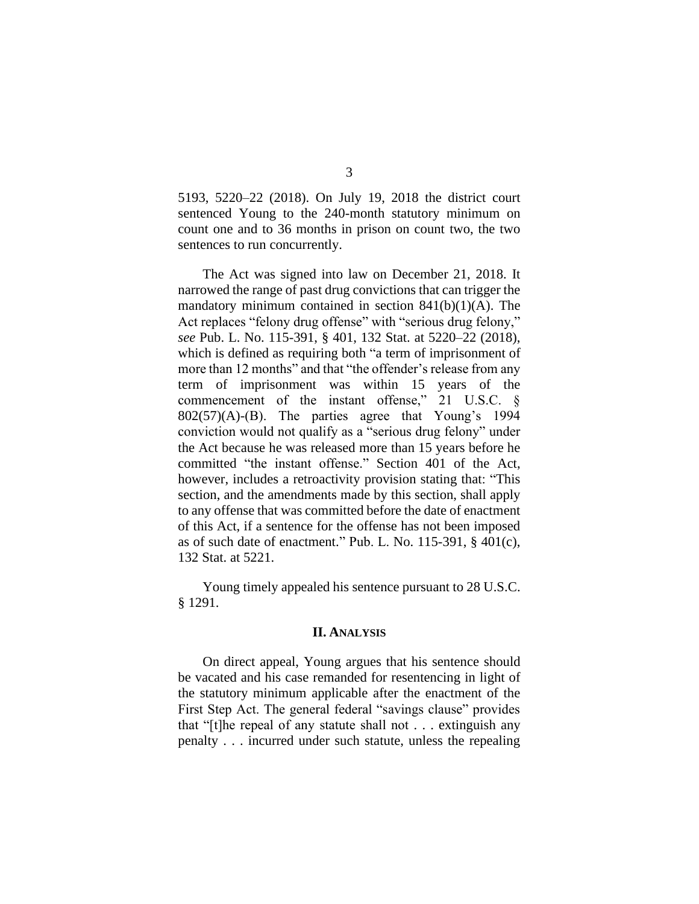5193, 5220–22 (2018). On July 19, 2018 the district court sentenced Young to the 240-month statutory minimum on count one and to 36 months in prison on count two, the two sentences to run concurrently.

The Act was signed into law on December 21, 2018. It narrowed the range of past drug convictions that can trigger the mandatory minimum contained in section  $841(b)(1)(A)$ . The Act replaces "felony drug offense" with "serious drug felony," *see* Pub. L. No. 115-391, § 401, 132 Stat. at 5220–22 (2018), which is defined as requiring both "a term of imprisonment of more than 12 months" and that "the offender's release from any term of imprisonment was within 15 years of the commencement of the instant offense," 21 U.S.C. §  $802(57)(A)$ -(B). The parties agree that Young's 1994 conviction would not qualify as a "serious drug felony" under the Act because he was released more than 15 years before he committed "the instant offense." Section 401 of the Act, however, includes a retroactivity provision stating that: "This section, and the amendments made by this section, shall apply to any offense that was committed before the date of enactment of this Act, if a sentence for the offense has not been imposed as of such date of enactment." Pub. L. No. 115-391, § 401(c), 132 Stat. at 5221.

Young timely appealed his sentence pursuant to 28 U.S.C. § 1291.

## **II. ANALYSIS**

On direct appeal, Young argues that his sentence should be vacated and his case remanded for resentencing in light of the statutory minimum applicable after the enactment of the First Step Act. The general federal "savings clause" provides that "[t]he repeal of any statute shall not . . . extinguish any penalty . . . incurred under such statute, unless the repealing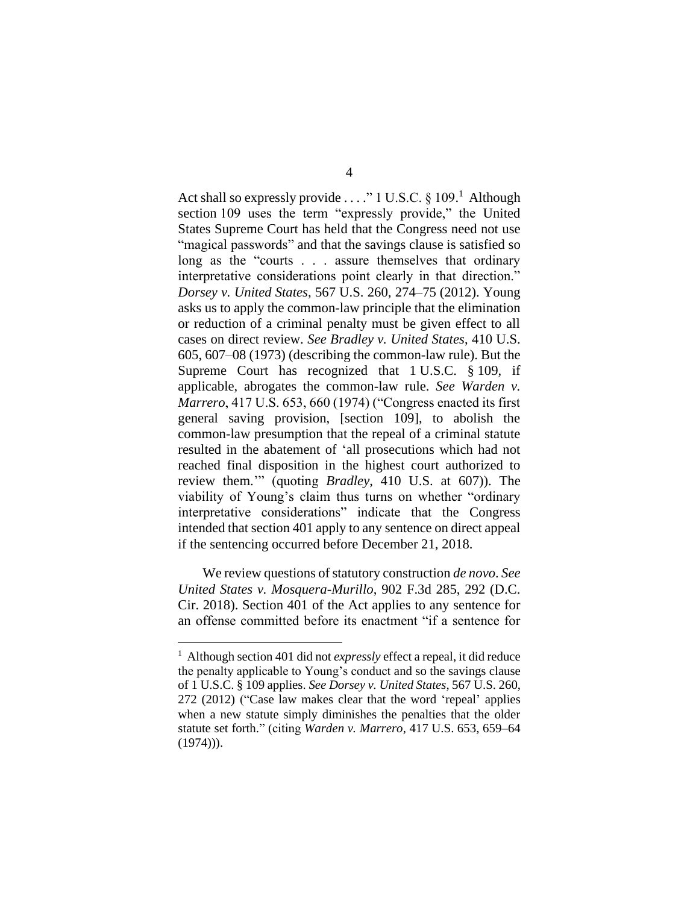Act shall so expressly provide . . . ." 1 U.S.C. § 109.<sup>1</sup> Although section 109 uses the term "expressly provide," the United States Supreme Court has held that the Congress need not use "magical passwords" and that the savings clause is satisfied so long as the "courts . . . assure themselves that ordinary interpretative considerations point clearly in that direction." *Dorsey v. United States*, 567 U.S. 260, 274–75 (2012). Young asks us to apply the common-law principle that the elimination or reduction of a criminal penalty must be given effect to all cases on direct review. *See Bradley v. United States*, 410 U.S. 605, 607–08 (1973) (describing the common-law rule). But the Supreme Court has recognized that 1 U.S.C. § 109, if applicable, abrogates the common-law rule. *See Warden v. Marrero*, 417 U.S. 653, 660 (1974) ("Congress enacted its first general saving provision, [section 109], to abolish the common-law presumption that the repeal of a criminal statute resulted in the abatement of 'all prosecutions which had not reached final disposition in the highest court authorized to review them.'" (quoting *Bradley*, 410 U.S. at 607)). The viability of Young's claim thus turns on whether "ordinary interpretative considerations" indicate that the Congress intended that section 401 apply to any sentence on direct appeal if the sentencing occurred before December 21, 2018.

We review questions of statutory construction *de novo*. *See United States v. Mosquera-Murillo*, 902 F.3d 285, 292 (D.C. Cir. 2018). Section 401 of the Act applies to any sentence for an offense committed before its enactment "if a sentence for

<sup>&</sup>lt;sup>1</sup> Although section 401 did not *expressly* effect a repeal, it did reduce the penalty applicable to Young's conduct and so the savings clause of 1 U.S.C. § 109 applies. *See Dorsey v. United States*, 567 U.S. 260, 272 (2012) ("Case law makes clear that the word 'repeal' applies when a new statute simply diminishes the penalties that the older statute set forth." (citing *Warden v. Marrero*, 417 U.S. 653, 659–64  $(1974))$ .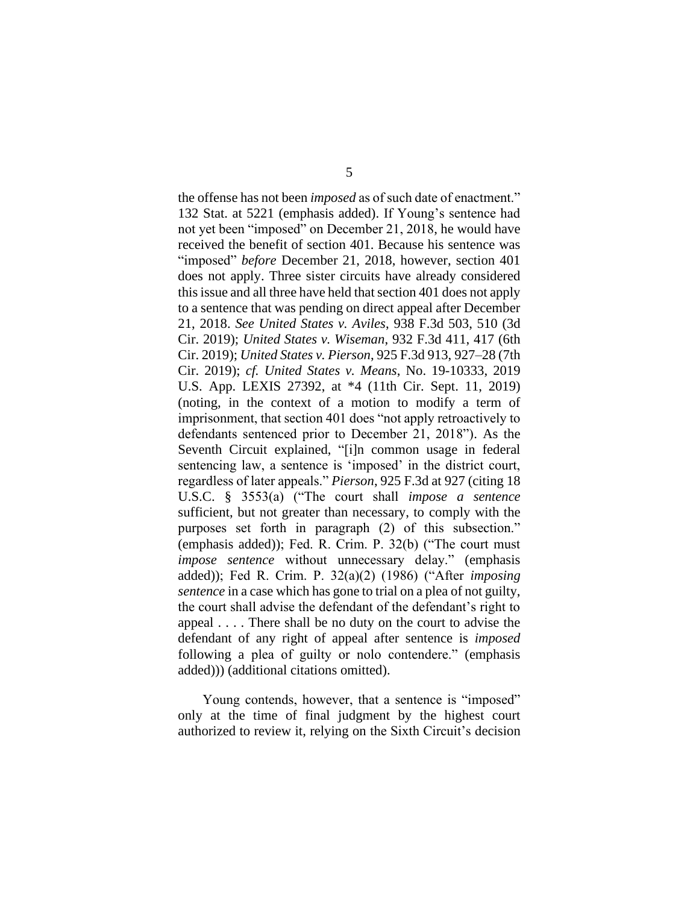the offense has not been *imposed* as of such date of enactment." 132 Stat. at 5221 (emphasis added). If Young's sentence had not yet been "imposed" on December 21, 2018, he would have received the benefit of section 401. Because his sentence was "imposed" *before* December 21, 2018, however, section 401 does not apply. Three sister circuits have already considered this issue and all three have held that section 401 does not apply to a sentence that was pending on direct appeal after December 21, 2018. *See United States v. Aviles*, 938 F.3d 503, 510 (3d Cir. 2019); *United States v. Wiseman*, 932 F.3d 411, 417 (6th Cir. 2019); *United States v. Pierson*, 925 F.3d 913, 927–28 (7th Cir. 2019); *cf. United States v. Means*, No. 19-10333, 2019 U.S. App. LEXIS 27392, at \*4 (11th Cir. Sept. 11, 2019) (noting, in the context of a motion to modify a term of imprisonment, that section 401 does "not apply retroactively to defendants sentenced prior to December 21, 2018"). As the Seventh Circuit explained, "[i]n common usage in federal sentencing law, a sentence is 'imposed' in the district court, regardless of later appeals." *Pierson*, 925 F.3d at 927 (citing 18 U.S.C. § 3553(a) ("The court shall *impose a sentence* sufficient, but not greater than necessary, to comply with the purposes set forth in paragraph (2) of this subsection." (emphasis added)); Fed. R. Crim. P. 32(b) ("The court must *impose sentence* without unnecessary delay." (emphasis added)); Fed R. Crim. P. 32(a)(2) (1986) ("After *imposing sentence* in a case which has gone to trial on a plea of not guilty, the court shall advise the defendant of the defendant's right to appeal . . . . There shall be no duty on the court to advise the defendant of any right of appeal after sentence is *imposed* following a plea of guilty or nolo contendere." (emphasis added))) (additional citations omitted).

Young contends, however, that a sentence is "imposed" only at the time of final judgment by the highest court authorized to review it, relying on the Sixth Circuit's decision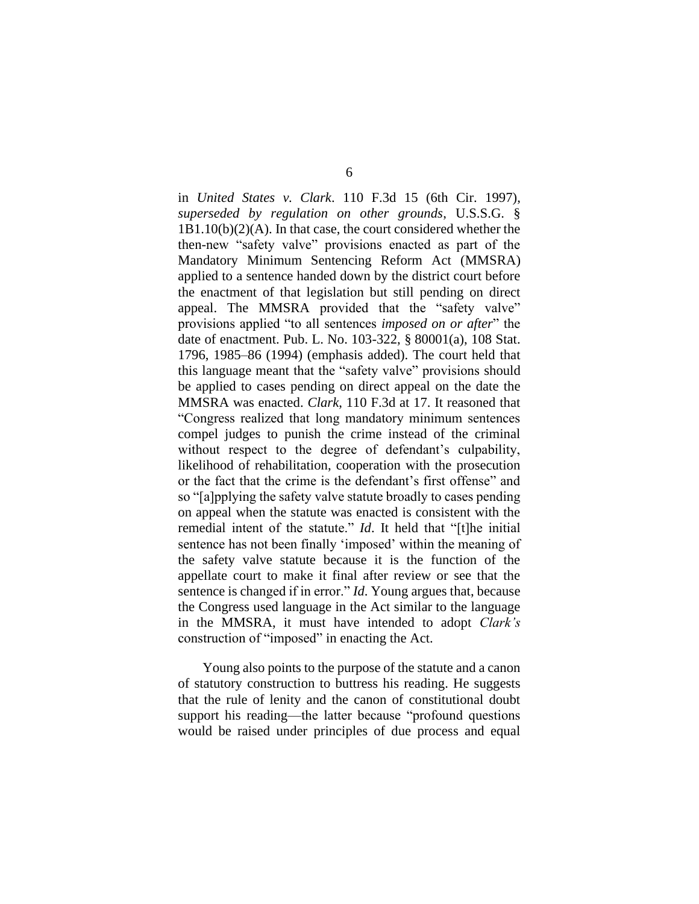in *United States v. Clark*. 110 F.3d 15 (6th Cir. 1997), *superseded by regulation on other grounds*, U.S.S.G. § 1B1.10(b)(2)(A). In that case, the court considered whether the then-new "safety valve" provisions enacted as part of the Mandatory Minimum Sentencing Reform Act (MMSRA) applied to a sentence handed down by the district court before the enactment of that legislation but still pending on direct appeal. The MMSRA provided that the "safety valve" provisions applied "to all sentences *imposed on or after*" the date of enactment. Pub. L. No. 103-322, § 80001(a), 108 Stat. 1796, 1985–86 (1994) (emphasis added). The court held that this language meant that the "safety valve" provisions should be applied to cases pending on direct appeal on the date the MMSRA was enacted. *Clark*, 110 F.3d at 17. It reasoned that "Congress realized that long mandatory minimum sentences compel judges to punish the crime instead of the criminal without respect to the degree of defendant's culpability, likelihood of rehabilitation, cooperation with the prosecution or the fact that the crime is the defendant's first offense" and so "[a]pplying the safety valve statute broadly to cases pending on appeal when the statute was enacted is consistent with the remedial intent of the statute." *Id*. It held that "[t]he initial sentence has not been finally 'imposed' within the meaning of the safety valve statute because it is the function of the appellate court to make it final after review or see that the sentence is changed if in error." *Id*. Young argues that, because the Congress used language in the Act similar to the language in the MMSRA, it must have intended to adopt *Clark's* construction of "imposed" in enacting the Act.

Young also points to the purpose of the statute and a canon of statutory construction to buttress his reading. He suggests that the rule of lenity and the canon of constitutional doubt support his reading—the latter because "profound questions would be raised under principles of due process and equal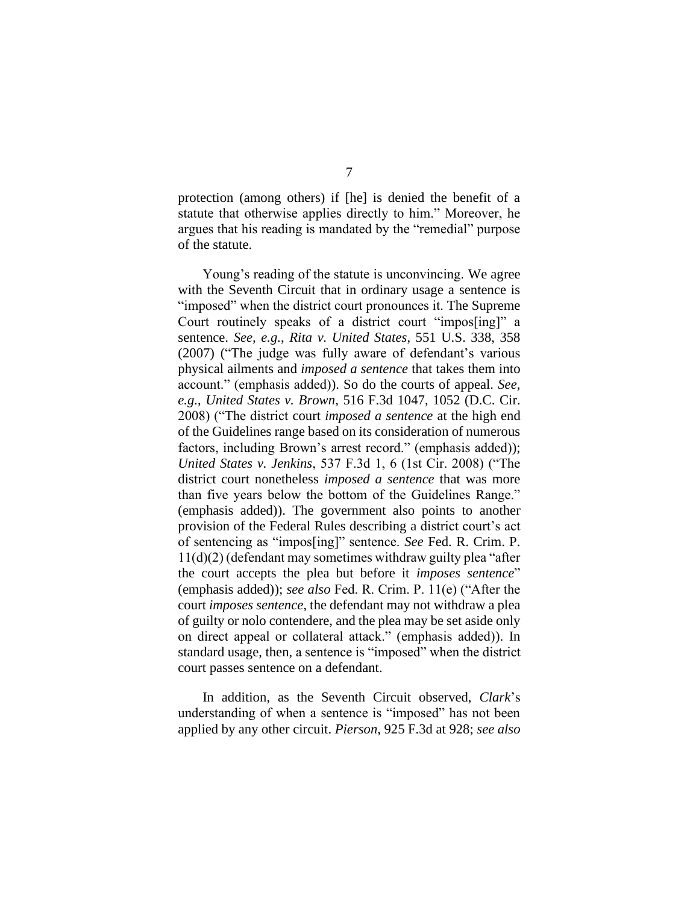protection (among others) if [he] is denied the benefit of a statute that otherwise applies directly to him." Moreover, he argues that his reading is mandated by the "remedial" purpose of the statute.

Young's reading of the statute is unconvincing. We agree with the Seventh Circuit that in ordinary usage a sentence is "imposed" when the district court pronounces it. The Supreme Court routinely speaks of a district court "impos[ing]" a sentence. *See, e.g.*, *Rita v. United States*, 551 U.S. 338, 358 (2007) ("The judge was fully aware of defendant's various physical ailments and *imposed a sentence* that takes them into account." (emphasis added)). So do the courts of appeal. *See, e.g.*, *United States v. Brown*, 516 F.3d 1047, 1052 (D.C. Cir. 2008) ("The district court *imposed a sentence* at the high end of the Guidelines range based on its consideration of numerous factors, including Brown's arrest record." (emphasis added)); *United States v. Jenkins*, 537 F.3d 1, 6 (1st Cir. 2008) ("The district court nonetheless *imposed a sentence* that was more than five years below the bottom of the Guidelines Range." (emphasis added)). The government also points to another provision of the Federal Rules describing a district court's act of sentencing as "impos[ing]" sentence. *See* Fed. R. Crim. P. 11(d)(2) (defendant may sometimes withdraw guilty plea "after the court accepts the plea but before it *imposes sentence*" (emphasis added)); *see also* Fed. R. Crim. P. 11(e) ("After the court *imposes sentence*, the defendant may not withdraw a plea of guilty or nolo contendere, and the plea may be set aside only on direct appeal or collateral attack." (emphasis added)). In standard usage, then, a sentence is "imposed" when the district court passes sentence on a defendant.

In addition, as the Seventh Circuit observed, *Clark*'s understanding of when a sentence is "imposed" has not been applied by any other circuit. *Pierson*, 925 F.3d at 928; *see also*